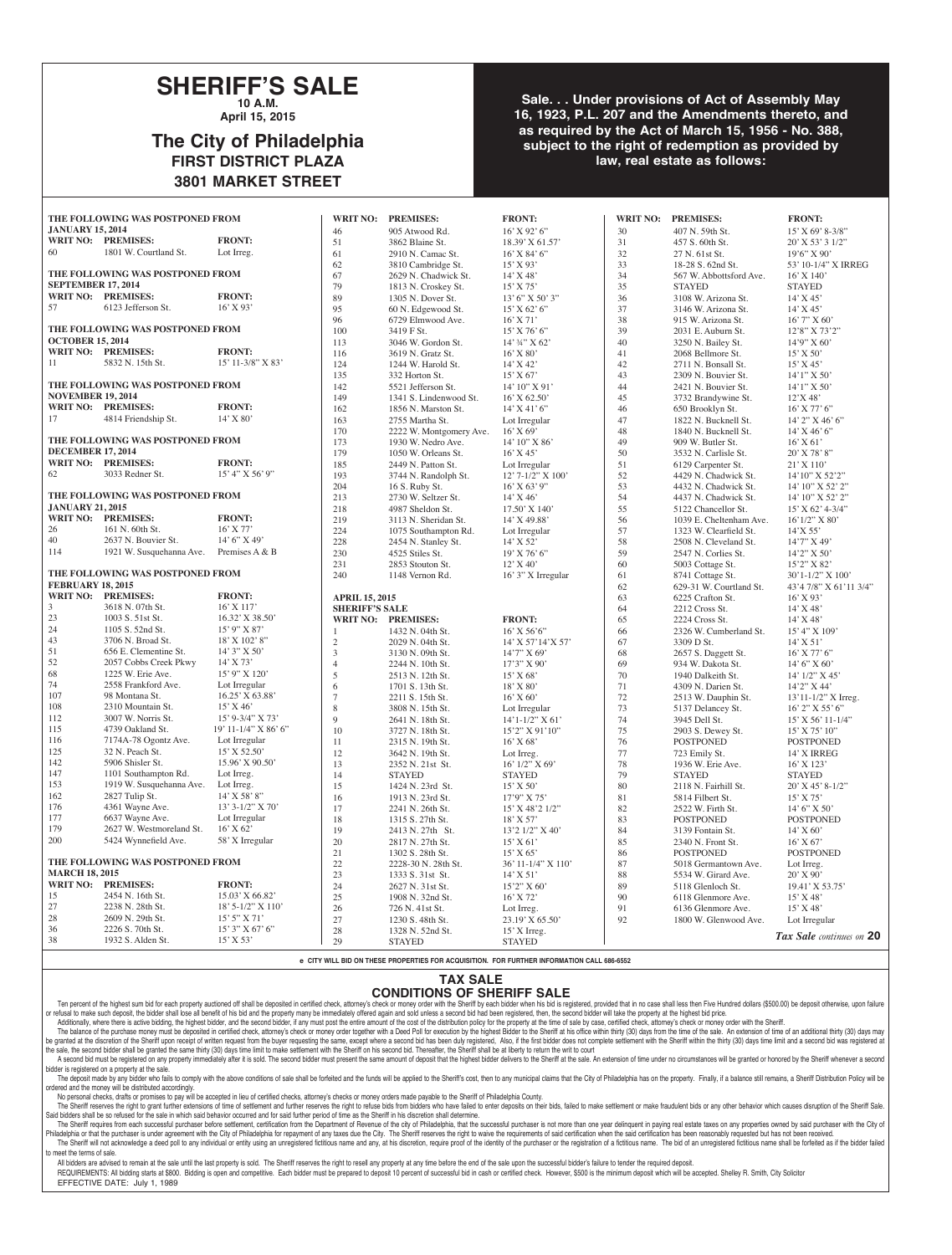### **SHERIFF'S SALE 10 A.M.**

**April 15, 2015**

# **The City of Philadelphia FIRST DISTRICT PLAZA 3801 MARKET STREET**

**Sale. . . Under provisions of Act of Assembly May 16, 1923, P.L. 207 and the Amendments thereto, and as required by the Act of March 15, 1956 - No. 388, subject to the right of redemption as provided by law, real estate as follows:**

| THE FOLLOWING WAS POSTPONED FROM |                                  | <b>WRIT NO:</b>      | <b>PREMISES:</b>            | <b>FRONT:</b>           |                         | WRIT NO: PREMISES: | <b>FRONT:</b>           |                          |
|----------------------------------|----------------------------------|----------------------|-----------------------------|-------------------------|-------------------------|--------------------|-------------------------|--------------------------|
| <b>JANUARY 15, 2014</b>          |                                  | 46                   | 905 Atwood Rd.              | 16' X 92' 6"            | 30                      | 407 N. 59th St.    | $15'$ X 69' 8-3/8"      |                          |
|                                  | WRIT NO: PREMISES:               | <b>FRONT:</b>        | 51                          | 3862 Blaine St.         | 18.39' X 61.57'         | 31                 | 457 S. 60th St.         | $20'$ X 53' 3 1/2"       |
| 60                               | 1801 W. Courtland St.            | Lot Irreg.           | 61                          | 2910 N. Camac St.       | $16'$ X 84' 6"          | 32                 | 27 N. 61st St.          | $19'6''$ X 90'           |
|                                  |                                  |                      | 62                          | 3810 Cambridge St.      | 15' X 93'               | 33                 | 18-28 S. 62nd St.       | 53' 10-1/4" X IRREG      |
|                                  | THE FOLLOWING WAS POSTPONED FROM |                      | 67                          | 2629 N. Chadwick St.    | 14' X 48'               | 34                 | 567 W. Abbottsford Ave. | $16'$ X $140'$           |
| <b>SEPTEMBER 17, 2014</b>        |                                  |                      | 79                          | 1813 N. Croskey St.     | $15'$ X 75'             | 35                 | <b>STAYED</b>           | <b>STAYED</b>            |
|                                  | WRIT NO: PREMISES:               | <b>FRONT:</b>        | 89                          | 1305 N. Dover St.       | $13'$ 6" X 50' 3"       | 36                 | 3108 W. Arizona St.     | $14'$ X 45'              |
| 57                               | 6123 Jefferson St.               | $16'$ X 93'          | 95                          | 60 N. Edgewood St.      | $15'$ X 62' 6"          | 37                 | 3146 W. Arizona St.     | $14'$ X 45'              |
|                                  |                                  |                      | 96                          | 6729 Elmwood Ave.       | $16'$ X 71'             | 38                 | 915 W. Arizona St.      | $16'$ 7" X 60'           |
|                                  | THE FOLLOWING WAS POSTPONED FROM |                      | 100                         | 3419 F St.              | 15' X 76' 6"            | 39                 | 2031 E. Auburn St.      | 12'8" X 73'2"            |
| <b>OCTOBER 15, 2014</b>          |                                  |                      | 113                         | 3046 W. Gordon St.      | 14' 34" X 62'           | 40                 | 3250 N. Bailey St.      | $14'9''$ X 60'           |
|                                  | WRIT NO: PREMISES:               | <b>FRONT:</b>        | 116                         | 3619 N. Gratz St.       | $16'$ X 80'             | 41                 | 2068 Bellmore St.       | $15'$ X 50'              |
| 11                               | 5832 N. 15th St.                 | 15' 11-3/8" X 83'    | 124                         | 1244 W. Harold St.      | 14' X 42'               | 42                 | 2711 N. Bonsall St.     | 15' X 45'                |
|                                  |                                  |                      | 135                         | 332 Horton St.          | 15' X 67'               | 43                 | 2309 N. Bouvier St.     | $14'1''$ X 50'           |
|                                  | THE FOLLOWING WAS POSTPONED FROM |                      | 142                         | 5521 Jefferson St.      | 14' 10" X 91'           | 44                 | 2421 N. Bouvier St.     | $14'1''$ X 50'           |
| <b>NOVEMBER 19, 2014</b>         |                                  |                      | 149                         | 1341 S. Lindenwood St.  | $16'$ X 62.50'          | 45                 | 3732 Brandywine St.     | 12'X48'                  |
|                                  | WRIT NO: PREMISES:               | <b>FRONT:</b>        | 162                         | 1856 N. Marston St.     | $14'$ X 41' 6"          | 46                 | 650 Brooklyn St.        | $16'$ X 77' 6"           |
| 17                               | 4814 Friendship St.              | 14' X 80'            | 163                         | 2755 Martha St.         | Lot Irregular           | 47                 | 1822 N. Bucknell St.    | 14' 2" X 46' 6"          |
|                                  |                                  |                      | 170                         | 2222 W. Montgomery Ave. | $16'$ X 69'             | 48                 | 1840 N. Bucknell St.    | 14' X 46' 6"             |
|                                  | THE FOLLOWING WAS POSTPONED FROM |                      | 173                         | 1930 W. Nedro Ave.      | 14' 10" X 86'           | 49                 | 909 W. Butler St.       | $16'$ X 61'              |
| <b>DECEMBER 17, 2014</b>         |                                  |                      | 179                         | 1050 W. Orleans St.     | $16'$ X 45'             | 50                 | 3532 N. Carlisle St.    | 20' X 78' 8"             |
|                                  | <b>WRIT NO: PREMISES:</b>        | <b>FRONT:</b>        | 185                         | 2449 N. Patton St.      | Lot Irregular           | 51                 | 6129 Carpenter St.      | $21'$ X 110'             |
| 62                               | 3033 Redner St.                  | $15'$ 4" X 56' 9"    | 193                         | 3744 N. Randolph St.    | 12' 7-1/2" X 100'       | 52                 | 4429 N. Chadwick St.    | 14'10" X 52'2"           |
|                                  |                                  |                      | 204                         | 16 S. Ruby St.          | $16'$ X 63' 9"          | 53                 | 4432 N. Chadwick St.    | 14' 10" X 52' 2"         |
|                                  | THE FOLLOWING WAS POSTPONED FROM |                      | 213                         | 2730 W. Seltzer St.     | $14'$ X 46'             | 54                 | 4437 N. Chadwick St.    | 14' 10" X 52' 2"         |
| <b>JANUARY 21, 2015</b>          |                                  |                      | 218                         | 4987 Sheldon St.        | 17.50' X 140'           | 55                 | 5122 Chancellor St.     | $15'$ X 62' 4-3/4"       |
|                                  | WRIT NO: PREMISES:               | <b>FRONT:</b>        | 219                         | 3113 N. Sheridan St.    | 14' X 49.88'            | 56                 | 1039 E. Cheltenham Ave. | $16'1/2''$ X 80'         |
| 26                               | 161 N. 60th St.                  | $16'$ X 77'          | 224                         | 1075 Southampton Rd.    | Lot Irregular           | 57                 | 1323 W. Clearfield St.  | 14'X 55'                 |
| $40\,$                           | 2637 N. Bouvier St.              | 14' 6'' X 49'        | 228                         | 2454 N. Stanley St.     | 14' X 52'               | 58                 | 2508 N. Cleveland St.   | 14'7" X 49'              |
| 114                              | 1921 W. Susquehanna Ave.         | Premises A & B       | 230                         | 4525 Stiles St.         | $19'$ X 76' 6"          | 59                 | 2547 N. Corlies St.     | 14'2" X 50'              |
|                                  |                                  |                      | 231                         | 2853 Stouton St.        | $12'$ X 40'             | 60                 | 5003 Cottage St.        | 15'2" X 82'              |
|                                  | THE FOLLOWING WAS POSTPONED FROM |                      | 240                         | 1148 Vernon Rd.         | 16' 3" X Irregular      | 61                 | 8741 Cottage St.        | 30'1-1/2" X 100'         |
| <b>FEBRUARY 18, 2015</b>         |                                  |                      |                             |                         |                         | 62                 | 629-31 W. Courtland St. | 43'4 7/8" X 61'11 3/4"   |
|                                  | WRIT NO: PREMISES:               | <b>FRONT:</b>        | <b>APRIL 15, 2015</b>       |                         |                         | 63                 | 6225 Crafton St.        | $16'$ X 93'              |
| 3                                | 3618 N. 07th St.                 | 16' X 117'           | <b>SHERIFF'S SALE</b>       |                         |                         | 64                 | 2212 Cross St.          | $14'$ X 48'              |
| 23                               | 1003 S. 51st St.                 | 16.32' X 38.50'      |                             | WRIT NO: PREMISES:      | <b>FRONT:</b>           | 65                 | 2224 Cross St.          | $14'$ X 48'              |
| 24                               | 1105 S. 52nd St.                 | 15' 9" X 87'         |                             | 1432 N. 04th St.        | $16'$ X 56'6"           | 66                 | 2326 W. Cumberland St.  | 15' 4" X 109'            |
| 43                               | 3706 N. Broad St.                | 18' X 102' 8"        | $\sqrt{2}$                  | 2029 N. 04th St.        | $14'$ X 57' $14'$ X 57' | 67                 | 3309 D St.              | $14'$ X 51'              |
| 51                               | 656 E. Clementine St.            | 14' 3" X 50'         | $\ensuremath{\mathfrak{Z}}$ | 3130 N. 09th St.        | $14'7''$ X 69'          | 68                 | 2657 S. Daggett St.     | $16'$ X 77' 6"           |
| 52                               | 2057 Cobbs Creek Pkwy            | 14' X 73'            | $\overline{4}$              | 2244 N. 10th St.        | $17'3''$ X 90'          | 69                 | 934 W. Dakota St.       | 14' 6" X 60'             |
| 68                               | 1225 W. Erie Ave.                | 15' 9" X 120'        | 5                           | 2513 N. 12th St.        | 15' X 68'               | 70                 | 1940 Dalkeith St.       | 14' 1/2" X 45'           |
| 74                               | 2558 Frankford Ave.              | Lot Irregular        | 6                           | 1701 S. 13th St.        | 18' X 80'               | 71                 | 4309 N. Darien St.      | 14'2" X 44'              |
| 107                              | 98 Montana St.                   | 16.25' X 63.88'      | $\overline{7}$              | 2211 S. 15th St.        | $16'$ X 60'             | 72                 | 2513 W. Dauphin St.     | $13'11 - 1/2''$ X Irreg. |
| 108                              | 2310 Mountain St.                | $15'$ X 46'          | 8                           | 3808 N. 15th St.        | Lot Irregular           | 73                 | 5137 Delancey St.       | 16' 2" X 55' 6"          |
| 112                              | 3007 W. Norris St.               | 15' 9-3/4" X 73'     | 9                           | 2641 N. 18th St.        | $14'1 - 1/2''$ X 61'    | 74                 | 3945 Dell St.           | 15' X 56' 11-1/4"        |
| 115                              | 4739 Oakland St.                 | 19' 11-1/4" X 86' 6" | 10                          | 3727 N. 18th St.        | 15'2" X 91'10"          | 75                 | 2903 S. Dewey St.       | 15' X 75' 10"            |
| 116                              | 7174A-78 Ogontz Ave.             | Lot Irregular        | 11                          | 2315 N. 19th St.        | $16'$ X 68'             | 76                 | <b>POSTPONED</b>        | <b>POSTPONED</b>         |
| 125                              | 32 N. Peach St.                  | $15'$ X 52.50'       | 12                          | 3642 N. 19th St.        | Lot Irreg.              | 77                 | 723 Emily St.           | 14' X IRREG              |
| 142                              | 5906 Shisler St.                 | 15.96' X 90.50'      | 13                          | 2352 N. 21st St.        | $16'$ $1/2''$ X $69'$   | 78                 | 1936 W. Erie Ave.       | 16' X 123'               |
| 147                              | 1101 Southampton Rd.             | Lot Irreg.           | 14                          | <b>STAYED</b>           | <b>STAYED</b>           | 79                 | <b>STAYED</b>           | <b>STAYED</b>            |
| 153                              | 1919 W. Susquehanna Ave.         | Lot Irreg.           | 15                          | 1424 N. 23rd St.        | $15'$ X 50'             | 80                 | 2118 N. Fairhill St.    | $20'$ X 45' 8-1/2"       |
| 162                              | 2827 Tulip St.                   | 14' X 58' 8"         | 16                          | 1913 N. 23rd St.        | 17'9" X 75'             | 81                 | 5814 Filbert St.        | 15' X 75'                |
| 176                              | 4361 Wayne Ave.                  | 13' 3-1/2" X 70'     | 17                          | 2241 N. 26th St.        | 15' X 48'2 1/2"         | 82                 | 2522 W. Firth St.       | 14' 6" X 50'             |
| 177                              | 6637 Wayne Ave.                  | Lot Irregular        | 18                          | 1315 S. 27th St.        | $18'$ X 57'             | 83                 | <b>POSTPONED</b>        | <b>POSTPONED</b>         |
| 179                              | 2627 W. Westmoreland St.         | 16' X 62'            | 19                          | 2413 N. 27th St.        | 13'2 1/2" X 40'         | 84                 | 3139 Fontain St.        | $14'$ X 60'              |
| 200                              | 5424 Wynnefield Ave.             | 58' X Irregular      | 20                          | 2817 N. 27th St.        | $15'$ X 61'             | 85                 | 2340 N. Front St.       | $16'$ X 67'              |
|                                  |                                  |                      | 21                          | 1302 S. 28th St.        | $15'$ X 65'             | 86                 | <b>POSTPONED</b>        | <b>POSTPONED</b>         |
|                                  | THE FOLLOWING WAS POSTPONED FROM |                      | 22                          | 2228-30 N. 28th St.     | $36'$ 11-1/4" X 110'    | 87                 | 5018 Germantown Ave.    | Lot Irreg.               |
| <b>MARCH 18, 2015</b>            |                                  |                      | 23                          | 1333 S. 31st St.        | $14'$ X 51'             | 88                 | 5534 W. Girard Ave.     | 20' X 90'                |
|                                  | WRIT NO: PREMISES:               | <b>FRONT:</b>        | 24                          | 2627 N. 31st St.        | 15'2" X 60'             | 89                 | 5118 Glenloch St.       | 19.41' X 53.75'          |
| 15                               | 2454 N. 16th St.                 | 15.03' X 66.82'      | 25                          | 1908 N. 32nd St.        | 16' X 72'               | 90                 | 6118 Glenmore Ave.      | 15' X 48'                |
| 27                               | 2238 N. 28th St.                 | $18'$ 5-1/2" X 110"  | 26                          | 726 N. 41st St.         | Lot Irreg.              | 91                 | 6136 Glenmore Ave.      | 15' X 48'                |
| 28                               | 2609 N. 29th St.                 | 15' 5" X 71'         | 27                          | 1230 S. 48th St.        | 23.19' X 65.50'         | 92                 | 1800 W. Glenwood Ave.   | Lot Irregular            |
| 36                               | 2226 S. 70th St.                 | $15'3''$ X 67' 6"    | 28                          | 1328 N. 52nd St.        | $15'$ X Irreg.          |                    |                         |                          |
| 38                               | 1932 S. Alden St.                | 15' X 53'            | 29                          | <b>STAYED</b>           | <b>STAYED</b>           |                    |                         | Tax Sale continues on 20 |

**e CITY WILL BID ON THESE PROPERTIES FOR ACQUISITION. FOR FURTHER INFORMATION CALL 686-6552**

### **TAX SALE**

#### **CONDITIONS OF SHERIFF SALE**

Ten percent of the highest sum bid for each property auctioned off shall be deposited in certified check, attorney's check or money order with the Sheriff by each bidder when his bid is registered, provided that in no case or refusal to make such deposit, the bidder shall lose all benefit of his bid and the property many be immediately offered again and sold unless a second bid had been registered, then, the second bidder will take the prope Additionally, where there is active bidding, the highest bidder, and the second bidder, if any must post the entire amount of the cost of the distribution policy for the property at the time of sale by case, certified chec

The balance of the purchase money must be deposited in certified check, attorney's check or money order together with a Deed Poll for execution by the highest Bidder to the Sheriff at his office within thirty (30) days fro be granted at the discretion of the Sheriff upon receipt of written request from the buyer requesting the same, except where a second bid has been duly registered. Also, if the first bidder does not complete settlement wit the sale, the second bidder shall be granted the same thirty (30) days time limit to make settlement with the Sheriff on his second bid. Thereafter, the Sheriff shall be at liberty to return the writ to court

A second bid must be registered on any property immediately after it is sold. The second bidder must present the same amount of deposit that the highest bidder delivers to the Sheriff at the sale. An extension of time unde bidder is registered on a property at the sale.

The deposit made by any bidder who fails to comply with the above conditions of sale shall be forfeited and the funds will be applied to the Sheriff's cost, then to any municipal claims that the City of Philadelphia has on ared and the money will be distributed accordingly.

No personal checks, dratts or promises to pay will be accepted in lieu of certified checks, attorney's checks or money orders made payable to the Sheriff of Philadelphia County.<br>The Sheriff reserves the right to grant furt

Said bidders shall be so refused for the sale in which said behavior occurred and for said further period of time as the Sheriff in his discretion shall determine. The Sheriff requires from each successful purchaser before settlement, certification from the Department of Hevenue of the city of Philadelphia, that the successful purchaser is not more than one year delinquent in paying The Sheriff will not acknowledge a deed poll to any individual or entity using an unregistered fictitious name and any, at his discretion, require proof of the identity of the purchaser or the registration of a fictitious to meet the terms of sale.

All bidders are advised to remain at the sale until the last property is sold. The Sheriff reserves the right to resell any property at any time before the end of the sale upon the successful bidder's failure to tender the REQUIREMENTS: All bidding starts at \$800. Bidding is open and competitive. Each bidder must be prepared to deposit 10 percent of successful bid in cash or certified check. However, \$500 is the minimum deposit which will be EFFECTIVE DATE: July 1, 1989